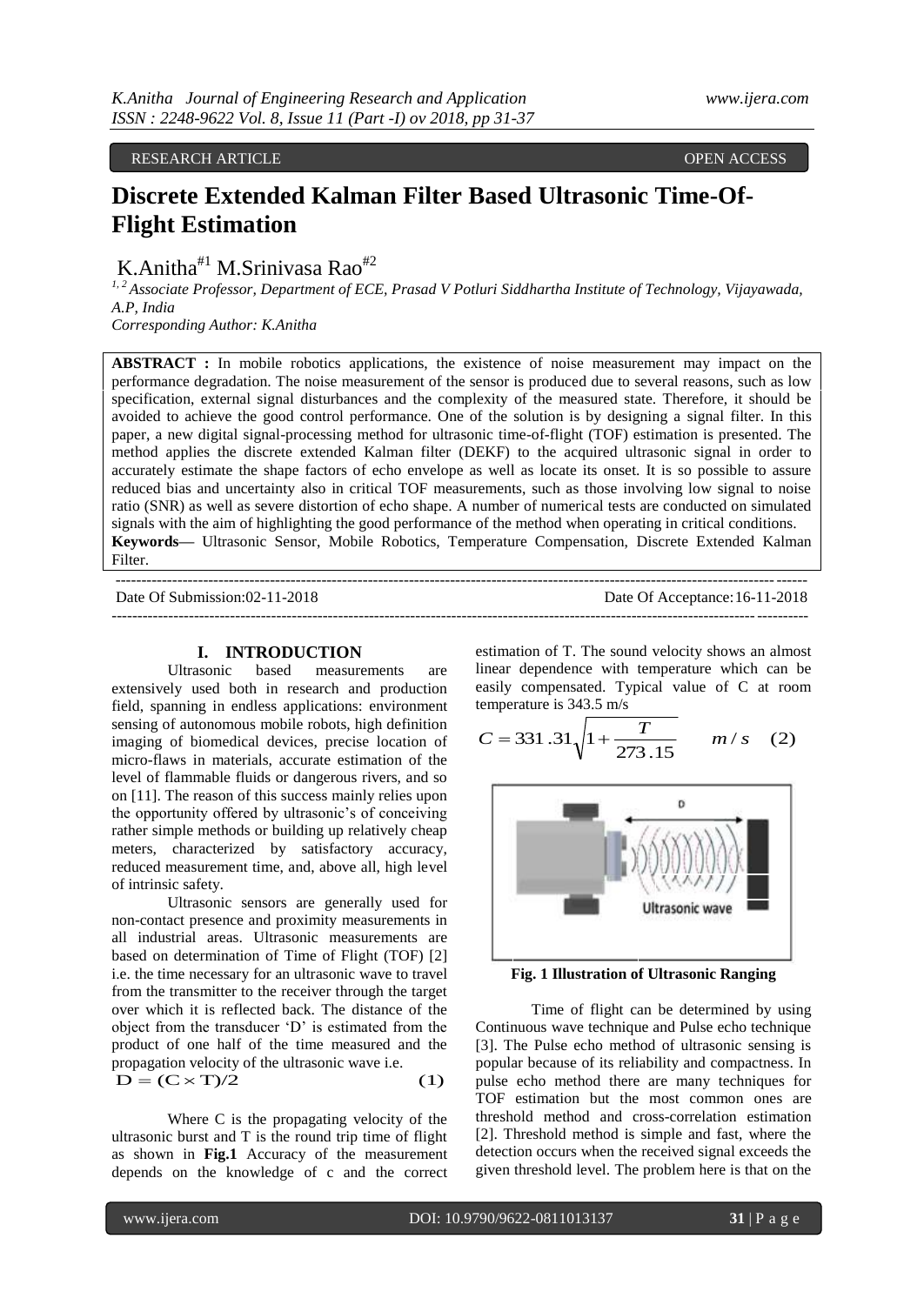RESEARCH ARTICLE **SECULIE ARTICLE** AND SECULIAR SECULIAR OPEN ACCESS OF A SECULIAR OPEN ACCESS OF A SECULIAR OPEN ACCESS OF A SECULIAR OF A SECULIAR OF A SECULIAR OF A SECULIAR OF A SECULIAR OF A SECULIAR OF A SECULIAR OF

# **Discrete Extended Kalman Filter Based Ultrasonic Time-Of-Flight Estimation**

K.Anitha<sup>#1</sup> M.Sriniyasa Rao<sup>#2</sup>

*1, 2 Associate Professor, Department of ECE, Prasad V Potluri Siddhartha Institute of Technology, Vijayawada, A.P, India*

*Corresponding Author: K.Anitha* 

**ABSTRACT :** In mobile robotics applications, the existence of noise measurement may impact on the performance degradation. The noise measurement of the sensor is produced due to several reasons, such as low specification, external signal disturbances and the complexity of the measured state. Therefore, it should be avoided to achieve the good control performance. One of the solution is by designing a signal filter. In this paper, a new digital signal-processing method for ultrasonic time-of-flight (TOF) estimation is presented. The method applies the discrete extended Kalman filter (DEKF) to the acquired ultrasonic signal in order to accurately estimate the shape factors of echo envelope as well as locate its onset. It is so possible to assure reduced bias and uncertainty also in critical TOF measurements, such as those involving low signal to noise ratio (SNR) as well as severe distortion of echo shape. A number of numerical tests are conducted on simulated signals with the aim of highlighting the good performance of the method when operating in critical conditions. **Keywords—** Ultrasonic Sensor, Mobile Robotics, Temperature Compensation, Discrete Extended Kalman Filter.

| Date Of Submission:02-11-2018 | Date Of Acceptance: 16-11-2018 |
|-------------------------------|--------------------------------|
|                               |                                |

# **I. INTRODUCTION**

based measurements are extensively used both in research and production field, spanning in endless applications: environment sensing of autonomous mobile robots, high definition imaging of biomedical devices, precise location of micro-flaws in materials, accurate estimation of the level of flammable fluids or dangerous rivers, and so on [11]. The reason of this success mainly relies upon the opportunity offered by ultrasonic's of conceiving rather simple methods or building up relatively cheap meters, characterized by satisfactory accuracy, reduced measurement time, and, above all, high level of intrinsic safety.

Ultrasonic sensors are generally used for non-contact presence and proximity measurements in all industrial areas. Ultrasonic measurements are based on determination of Time of Flight (TOF) [2] i.e. the time necessary for an ultrasonic wave to travel from the transmitter to the receiver through the target over which it is reflected back. The distance of the object from the transducer "D" is estimated from the product of one half of the time measured and the propagation velocity of the ultrasonic wave i.e.  $D = (C \times T)/2$  (1)

Where C is the propagating velocity of the ultrasonic burst and T is the round trip time of flight as shown in **Fig.1** Accuracy of the measurement depends on the knowledge of c and the correct estimation of T. The sound velocity shows an almost linear dependence with temperature which can be easily compensated. Typical value of C at room temperature is 343.5 m/s

$$
C = 331.31\sqrt{1 + \frac{T}{273.15}} \qquad m/s \quad (2)
$$



**Fig. 1 Illustration of Ultrasonic Ranging**

Time of flight can be determined by using Continuous wave technique and Pulse echo technique [3]. The Pulse echo method of ultrasonic sensing is popular because of its reliability and compactness. In pulse echo method there are many techniques for TOF estimation but the most common ones are threshold method and cross-correlation estimation [2]. Threshold method is simple and fast, where the detection occurs when the received signal exceeds the given threshold level. The problem here is that on the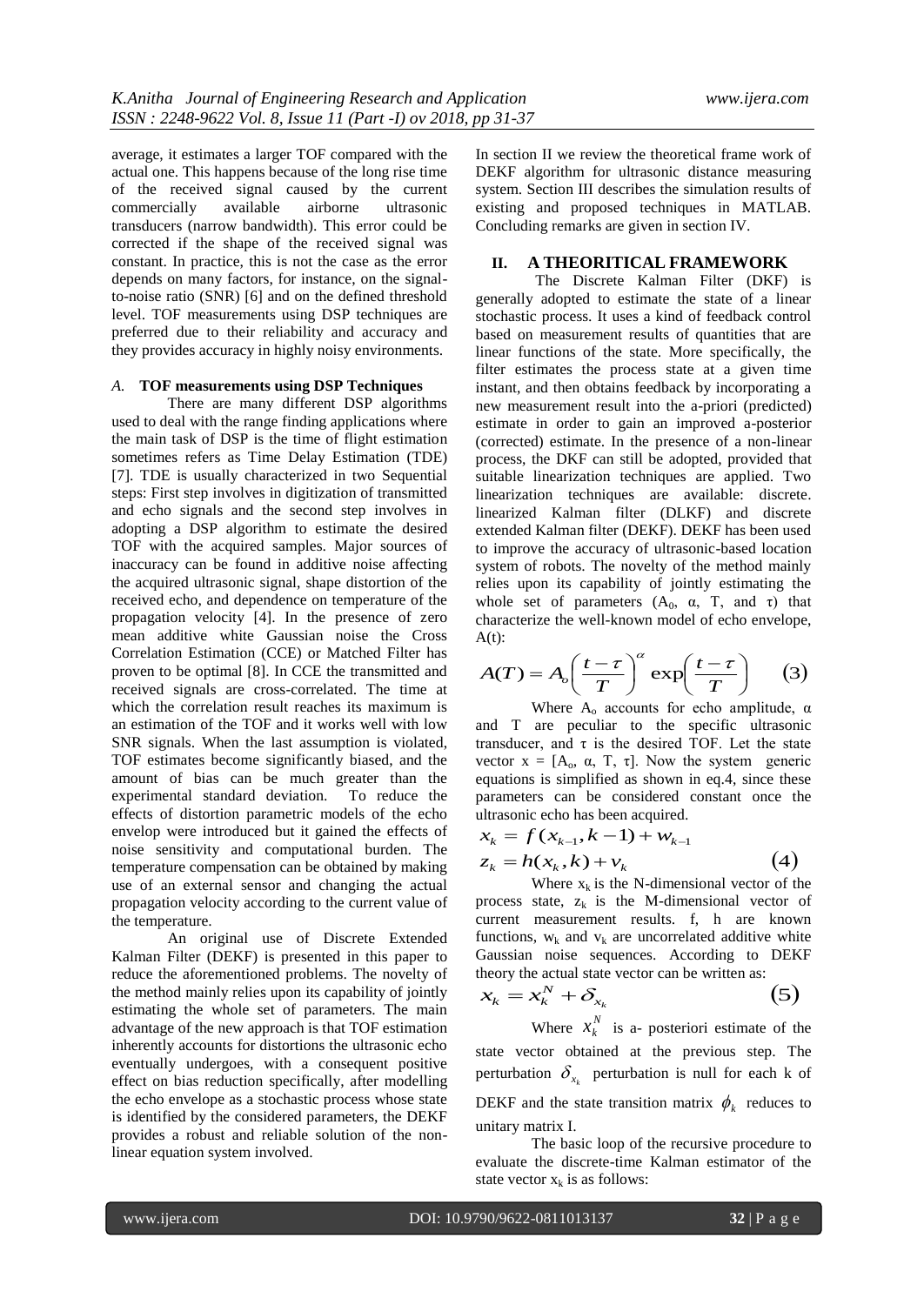average, it estimates a larger TOF compared with the actual one. This happens because of the long rise time of the received signal caused by the current commercially available airborne ultrasonic transducers (narrow bandwidth). This error could be corrected if the shape of the received signal was constant. In practice, this is not the case as the error depends on many factors, for instance, on the signalto-noise ratio (SNR) [6] and on the defined threshold level. TOF measurements using DSP techniques are preferred due to their reliability and accuracy and they provides accuracy in highly noisy environments.

#### *A.* **TOF measurements using DSP Techniques**

There are many different DSP algorithms used to deal with the range finding applications where the main task of DSP is the time of flight estimation sometimes refers as Time Delay Estimation (TDE) [7]. TDE is usually characterized in two Sequential steps: First step involves in digitization of transmitted and echo signals and the second step involves in adopting a DSP algorithm to estimate the desired TOF with the acquired samples. Major sources of inaccuracy can be found in additive noise affecting the acquired ultrasonic signal, shape distortion of the received echo, and dependence on temperature of the propagation velocity [4]. In the presence of zero mean additive white Gaussian noise the Cross Correlation Estimation (CCE) or Matched Filter has proven to be optimal [8]. In CCE the transmitted and received signals are cross-correlated. The time at which the correlation result reaches its maximum is an estimation of the TOF and it works well with low SNR signals. When the last assumption is violated, TOF estimates become significantly biased, and the amount of bias can be much greater than the experimental standard deviation. To reduce the effects of distortion parametric models of the echo envelop were introduced but it gained the effects of noise sensitivity and computational burden. The temperature compensation can be obtained by making use of an external sensor and changing the actual propagation velocity according to the current value of the temperature.

An original use of Discrete Extended Kalman Filter (DEKF) is presented in this paper to reduce the aforementioned problems. The novelty of the method mainly relies upon its capability of jointly estimating the whole set of parameters. The main advantage of the new approach is that TOF estimation inherently accounts for distortions the ultrasonic echo eventually undergoes, with a consequent positive effect on bias reduction specifically, after modelling the echo envelope as a stochastic process whose state is identified by the considered parameters, the DEKF provides a robust and reliable solution of the nonlinear equation system involved.

In section II we review the theoretical frame work of DEKF algorithm for ultrasonic distance measuring system. Section III describes the simulation results of existing and proposed techniques in MATLAB. Concluding remarks are given in section IV.

# **II. A THEORITICAL FRAMEWORK**

The Discrete Kalman Filter (DKF) is generally adopted to estimate the state of a linear stochastic process. It uses a kind of feedback control based on measurement results of quantities that are linear functions of the state. More specifically, the filter estimates the process state at a given time instant, and then obtains feedback by incorporating a new measurement result into the a-priori (predicted) estimate in order to gain an improved a-posterior (corrected) estimate. In the presence of a non-linear process, the DKF can still be adopted, provided that suitable linearization techniques are applied. Two linearization techniques are available: discrete. linearized Kalman filter (DLKF) and discrete extended Kalman filter (DEKF). DEKF has been used to improve the accuracy of ultrasonic-based location system of robots. The novelty of the method mainly relies upon its capability of jointly estimating the whole set of parameters  $(A_0, \alpha, T, \text{ and } \tau)$  that characterize the well-known model of echo envelope,  $A(t)$ :

$$
A(T) = A_o \left(\frac{t-\tau}{T}\right)^{\alpha} \exp\left(\frac{t-\tau}{T}\right) \tag{3}
$$

Where  $A_0$  accounts for echo amplitude,  $\alpha$ and T are peculiar to the specific ultrasonic transducer, and  $\tau$  is the desired TOF. Let the state vector  $x = [A_0, \alpha, T, \tau]$ . Now the system generic equations is simplified as shown in eq.4, since these parameters can be considered constant once the ultrasonic echo has been acquired.

$$
x_k = f(x_{k-1}, k-1) + w_{k-1}
$$

$$
z_k = h(x_k, k) + v_k \tag{4}
$$

Where  $x_k$  is the N-dimensional vector of the process state,  $z_k$  is the M-dimensional vector of current measurement results. f, h are known functions,  $w_k$  and  $v_k$  are uncorrelated additive white Gaussian noise sequences. According to DEKF theory the actual state vector can be written as:

$$
x_k = x_k^N + \delta_{x_k} \tag{5}
$$

Where  $x_k^N$  $x_k^N$  is a- posteriori estimate of the state vector obtained at the previous step. The perturbation  $\delta_{x_k}$  perturbation is null for each k of DEKF and the state transition matrix  $\phi_k$  reduces to unitary matrix I.

The basic loop of the recursive procedure to evaluate the discrete-time Kalman estimator of the state vector  $x_k$  is as follows: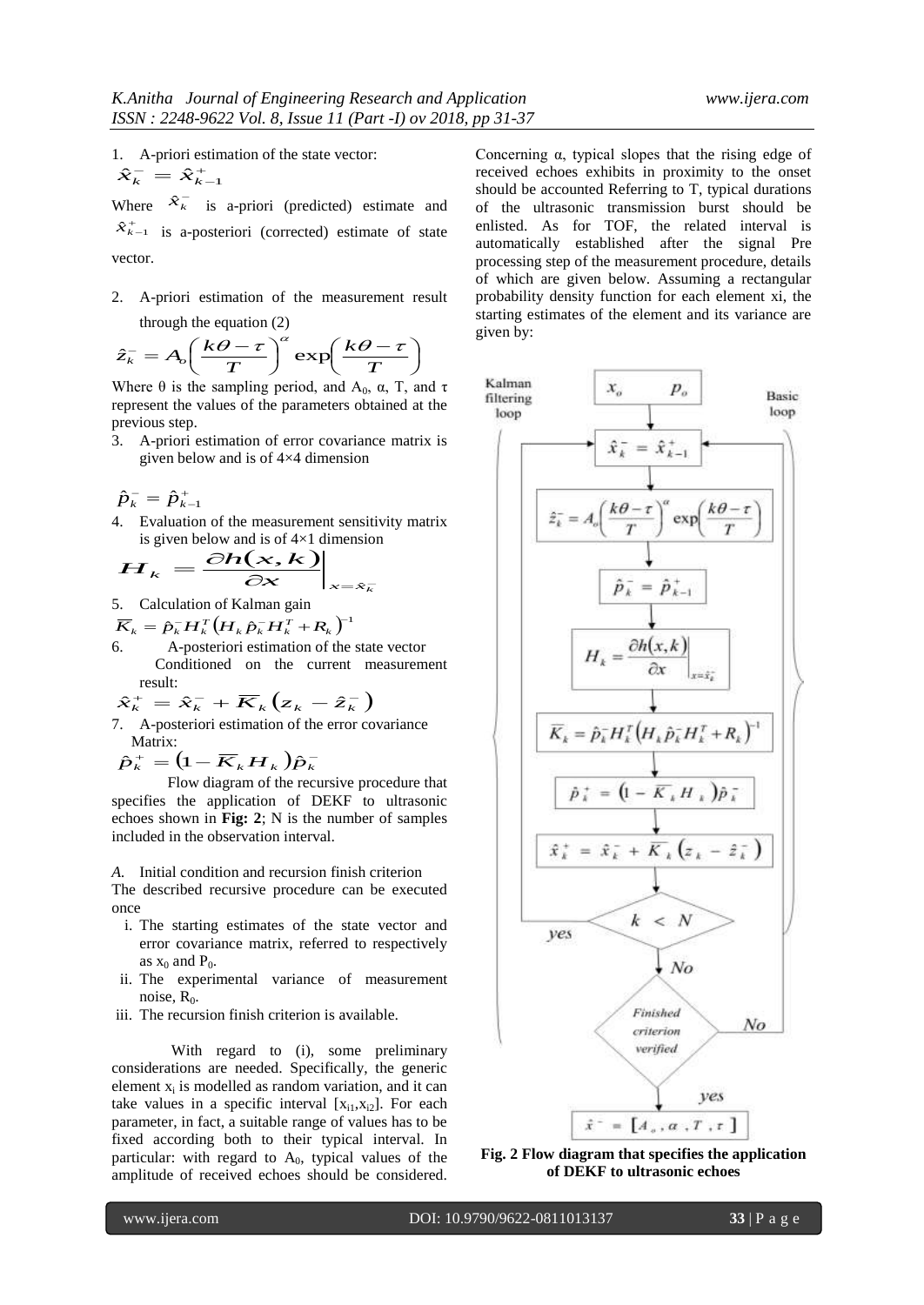1. A-priori estimation of the state vector:  $\hat{x}_{k}^{-} = \hat{x}_{k-1}^{+}$ 

Where  $\hat{x}_{k}^{-}$  is a-priori (predicted) estimate and  $\hat{x}_{k-1}^+$  is a-posteriori (corrected) estimate of state vector.

2. A-priori estimation of the measurement result through the equation (2)

$$
\hat{z}_k^- = A_o \left(\frac{k\theta - \tau}{T}\right)^\alpha \exp\left(\frac{k\theta - \tau}{T}\right)
$$

Where  $\theta$  is the sampling period, and  $A_0$ ,  $\alpha$ , T, and  $\tau$ represent the values of the parameters obtained at the previous step.

3. A-priori estimation of error covariance matrix is given below and is of 4×4 dimension

 $\hat{p}_{k}^{-} = \hat{p}_{k-1}^{+}$ 

4. Evaluation of the measurement sensitivity matrix

is given below and is of 4×1 dimension  

$$
H_k = \frac{\partial h(x, k)}{\partial x}\Big|_{x = \hat{x}_k}
$$

- 5. Calculation of Kalman gain
- $\overline{K}_k = \hat{p}_k^{\scriptscriptstyle -} H_k^T \big( \overline{H}_k \hat{p}_k^{\scriptscriptstyle -} \overline{H}_k^T + \overline{R}_k \big)^{\!\!-1}$
- 6. A-posteriori estimation of the state vector Conditioned on the current measurement result:

$$
\hat{x}_{k}^{+} = \hat{x}_{k}^{-} + \overline{K}_{k} (z_{k} - \hat{z}_{k}^{-})
$$

7. A-posteriori estimation of the error covariance Matrix:

 $\hat{p}_{k}^{+} = (1 - \overline{K}_{k} H_{k}) \hat{p}_{k}^{-}$ 

Flow diagram of the recursive procedure that specifies the application of DEKF to ultrasonic echoes shown in **Fig: 2**; N is the number of samples included in the observation interval.

*A.* Initial condition and recursion finish criterion

The described recursive procedure can be executed once

- i. The starting estimates of the state vector and error covariance matrix, referred to respectively as  $x_0$  and  $P_0$ .
- ii. The experimental variance of measurement noise,  $R_0$ .
- iii. The recursion finish criterion is available.

With regard to (i), some preliminary considerations are needed. Specifically, the generic element  $x_i$  is modelled as random variation, and it can take values in a specific interval  $[x_{i1},x_{i2}]$ . For each parameter, in fact, a suitable range of values has to be fixed according both to their typical interval. In particular: with regard to  $A_0$ , typical values of the amplitude of received echoes should be considered.

Concerning  $\alpha$ , typical slopes that the rising edge of received echoes exhibits in proximity to the onset should be accounted Referring to T, typical durations of the ultrasonic transmission burst should be enlisted. As for TOF, the related interval is automatically established after the signal Pre processing step of the measurement procedure, details of which are given below. Assuming a rectangular probability density function for each element xi, the starting estimates of the element and its variance are given by:



**Fig. 2 Flow diagram that specifies the application of DEKF to ultrasonic echoes**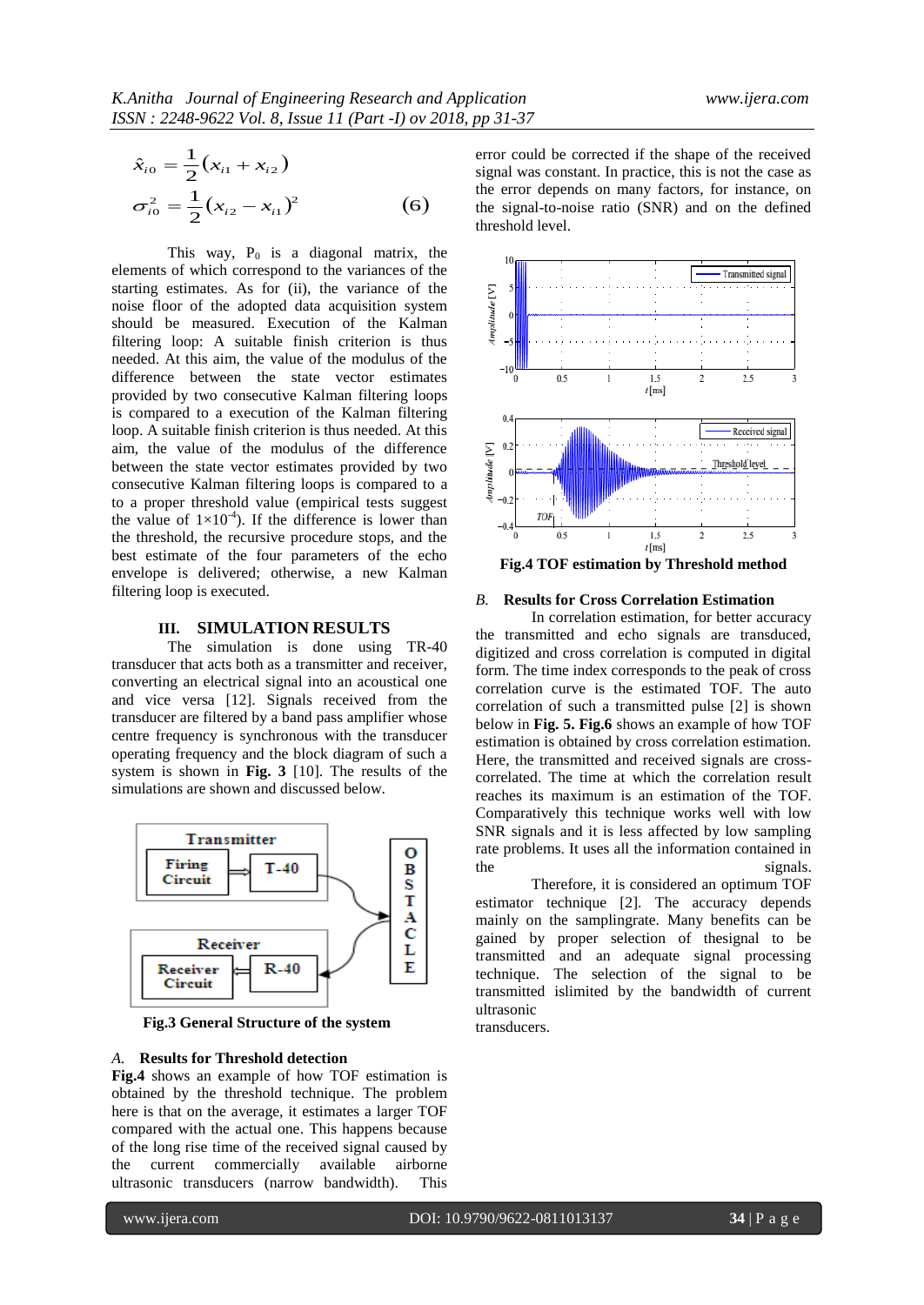$$
\hat{x}_{i0} = \frac{1}{2} (x_{i1} + x_{i2})
$$
  
\n
$$
\sigma_{i0}^2 = \frac{1}{2} (x_{i2} - x_{i1})^2
$$
 (6)

 $\mathcal{S}_{10} = \frac{1}{2} (X_{11} + X_{12})$ <br>
where exceed the convention of the signal convention of the signal convention of the signal convention of the signal content of the signal content of the signal content of the signal conte This way,  $P_0$  is a diagonal matrix, the elements of which correspond to the variances of the starting estimates. As for (ii), the variance of the noise floor of the adopted data acquisition system should be measured. Execution of the Kalman filtering loop: A suitable finish criterion is thus needed. At this aim, the value of the modulus of the difference between the state vector estimates provided by two consecutive Kalman filtering loops is compared to a execution of the Kalman filtering loop. A suitable finish criterion is thus needed. At this aim, the value of the modulus of the difference between the state vector estimates provided by two consecutive Kalman filtering loops is compared to a to a proper threshold value (empirical tests suggest the value of  $1\times10^{-4}$ ). If the difference is lower than the threshold, the recursive procedure stops, and the best estimate of the four parameters of the echo envelope is delivered; otherwise, a new Kalman filtering loop is executed.

## **III. SIMULATION RESULTS**

The simulation is done using TR-40 transducer that acts both as a transmitter and receiver, converting an electrical signal into an acoustical one and vice versa [12]. Signals received from the transducer are filtered by a band pass amplifier whose centre frequency is synchronous with the transducer operating frequency and the block diagram of such a system is shown in **Fig. 3** [10]. The results of the simulations are shown and discussed below.



 **Fig.3 General Structure of the system**

#### *A.* **Results for Threshold detection**

**Fig.4** shows an example of how TOF estimation is obtained by the threshold technique. The problem here is that on the average, it estimates a larger TOF compared with the actual one. This happens because of the long rise time of the received signal caused by the current commercially available airborne ultrasonic transducers (narrow bandwidth). This

error could be corrected if the shape of the received signal was constant. In practice, this is not the case as the error depends on many factors, for instance, on the signal-to-noise ratio (SNR) and on the defined threshold level.



**Fig.4 TOF estimation by Threshold method**

### *B.* **Results for Cross Correlation Estimation**

In correlation estimation, for better accuracy the transmitted and echo signals are transduced, digitized and cross correlation is computed in digital form. The time index corresponds to the peak of cross correlation curve is the estimated TOF. The auto correlation of such a transmitted pulse [2] is shown below in **Fig. 5. Fig.6** shows an example of how TOF estimation is obtained by cross correlation estimation. Here, the transmitted and received signals are crosscorrelated. The time at which the correlation result reaches its maximum is an estimation of the TOF. Comparatively this technique works well with low SNR signals and it is less affected by low sampling rate problems. It uses all the information contained in the signals.

Therefore, it is considered an optimum TOF estimator technique [2]. The accuracy depends mainly on the samplingrate. Many benefits can be gained by proper selection of thesignal to be transmitted and an adequate signal processing technique. The selection of the signal to be transmitted islimited by the bandwidth of current ultrasonic

transducers.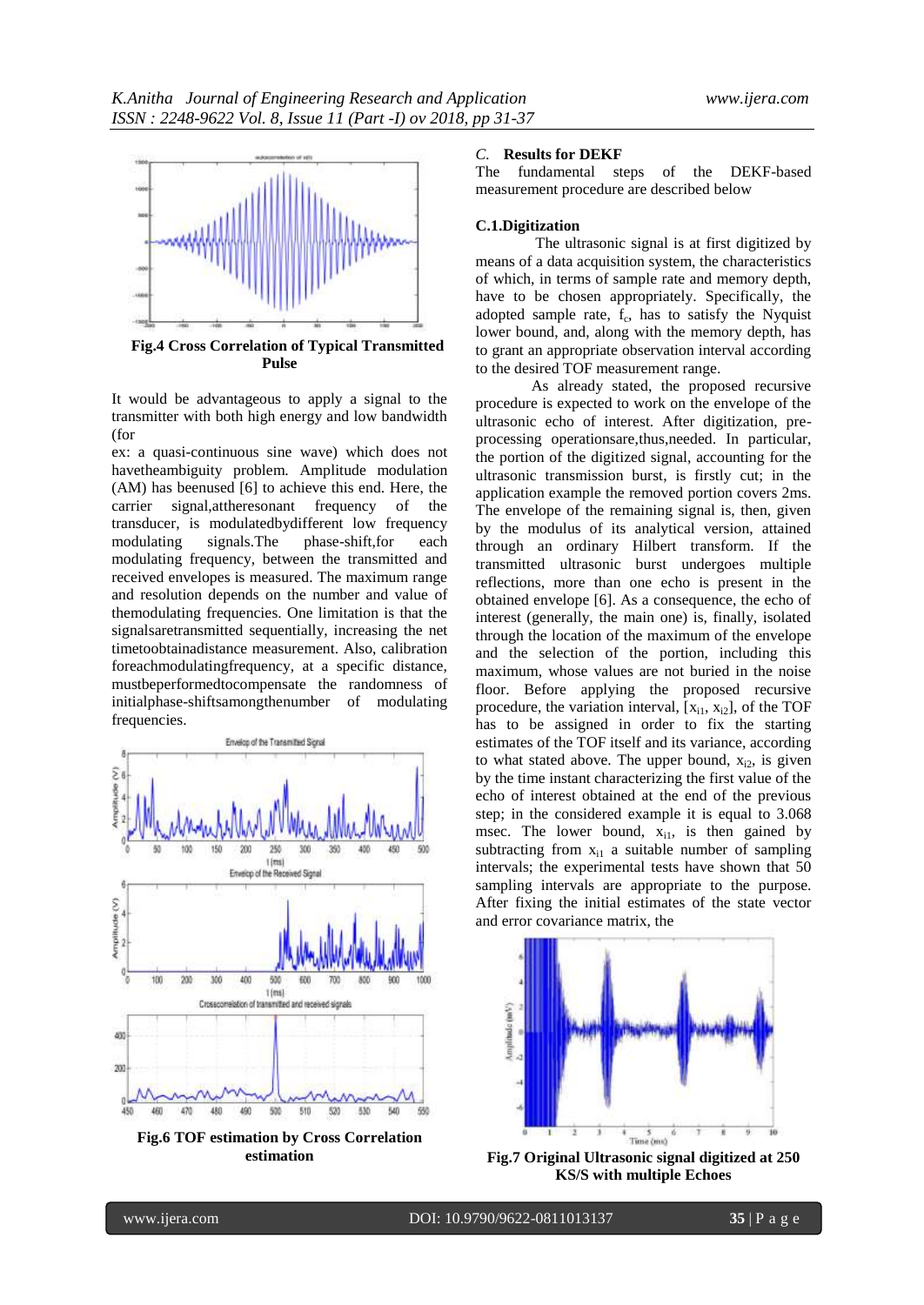

 **Fig.4 Cross Correlation of Typical Transmitted Pulse**

It would be advantageous to apply a signal to the transmitter with both high energy and low bandwidth (for

ex: a quasi-continuous sine wave) which does not havetheambiguity problem. Amplitude modulation (AM) has beenused [6] to achieve this end. Here, the carrier signal,attheresonant frequency of the transducer, is modulatedbydifferent low frequency modulating signals.The phase-shift,for each modulating frequency, between the transmitted and received envelopes is measured. The maximum range and resolution depends on the number and value of themodulating frequencies. One limitation is that the signalsaretransmitted sequentially, increasing the net timetoobtainadistance measurement. Also, calibration foreachmodulatingfrequency, at a specific distance, mustbeperformedtocompensate the randomness of initialphase-shiftsamongthenumber of modulating frequencies.



**Fig.6 TOF estimation by Cross Correlation estimation**

# *C.* **Results for DEKF**

The fundamental steps of the DEKF-based measurement procedure are described below

#### **C.1.Digitization**

The ultrasonic signal is at first digitized by means of a data acquisition system, the characteristics of which, in terms of sample rate and memory depth, have to be chosen appropriately. Specifically, the adopted sample rate,  $f_c$ , has to satisfy the Nyquist lower bound, and, along with the memory depth, has to grant an appropriate observation interval according to the desired TOF measurement range.

As already stated, the proposed recursive procedure is expected to work on the envelope of the ultrasonic echo of interest. After digitization, preprocessing operationsare,thus,needed. In particular, the portion of the digitized signal, accounting for the ultrasonic transmission burst, is firstly cut; in the application example the removed portion covers 2ms. The envelope of the remaining signal is, then, given by the modulus of its analytical version, attained through an ordinary Hilbert transform. If the transmitted ultrasonic burst undergoes multiple reflections, more than one echo is present in the obtained envelope [6]. As a consequence, the echo of interest (generally, the main one) is, finally, isolated through the location of the maximum of the envelope and the selection of the portion, including this maximum, whose values are not buried in the noise floor. Before applying the proposed recursive procedure, the variation interval,  $[x_{i1}, x_{i2}]$ , of the TOF has to be assigned in order to fix the starting estimates of the TOF itself and its variance, according to what stated above. The upper bound,  $x_{i2}$ , is given by the time instant characterizing the first value of the echo of interest obtained at the end of the previous step; in the considered example it is equal to 3.068 msec. The lower bound,  $x_{i1}$ , is then gained by subtracting from  $x_{i1}$  a suitable number of sampling intervals; the experimental tests have shown that 50 sampling intervals are appropriate to the purpose. After fixing the initial estimates of the state vector and error covariance matrix, the



**Fig.7 Original Ultrasonic signal digitized at 250 KS/S with multiple Echoes**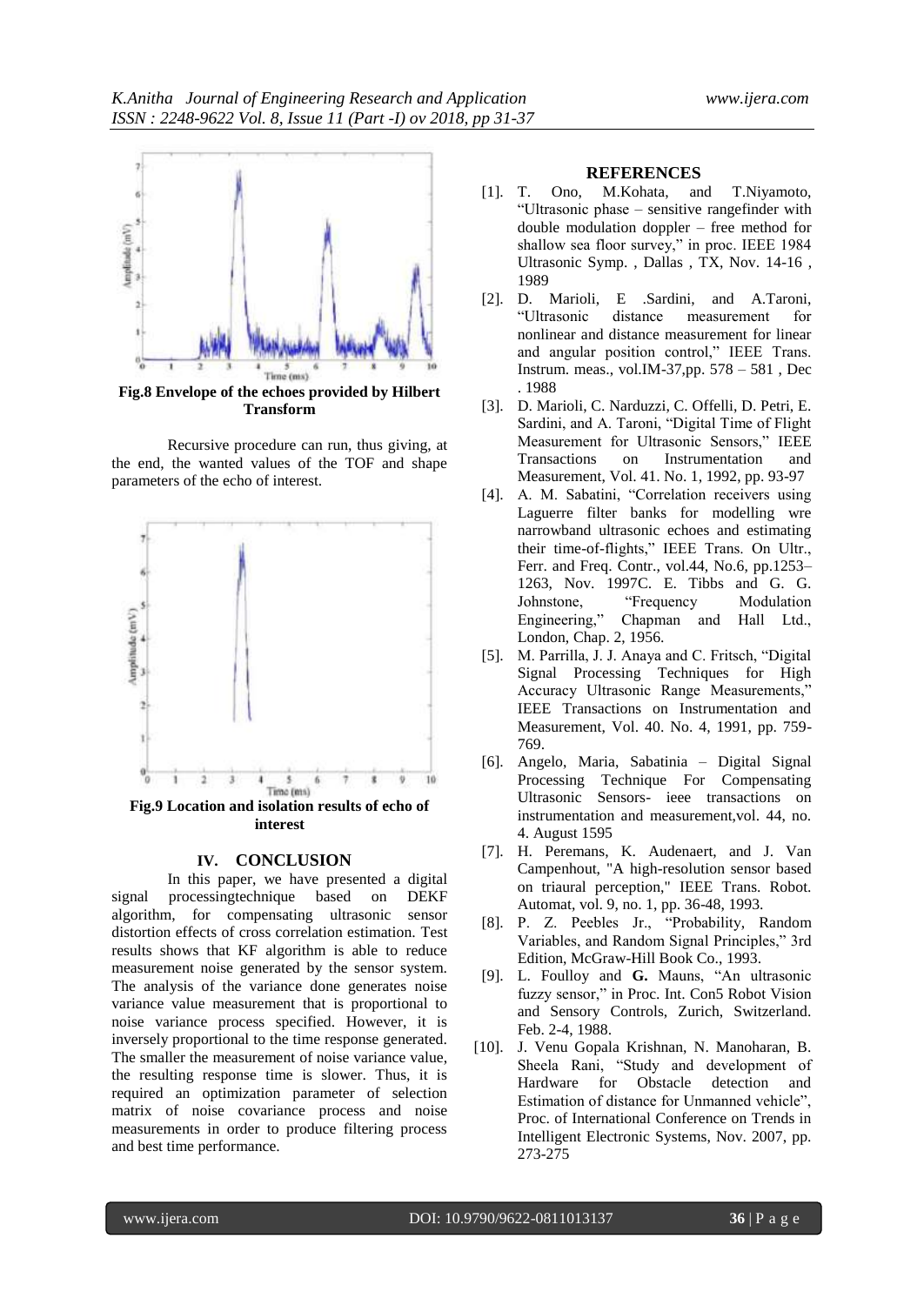

**Fig.8 Envelope of the echoes provided by Hilbert Transform**

Recursive procedure can run, thus giving, at the end, the wanted values of the TOF and shape parameters of the echo of interest.



**Fig.9 Location and isolation results of echo of interest**

#### **IV. CONCLUSION**

In this paper, we have presented a digital signal processingtechnique based on DEKF algorithm, for compensating ultrasonic sensor distortion effects of cross correlation estimation. Test results shows that KF algorithm is able to reduce measurement noise generated by the sensor system. The analysis of the variance done generates noise variance value measurement that is proportional to noise variance process specified. However, it is inversely proportional to the time response generated. The smaller the measurement of noise variance value, the resulting response time is slower. Thus, it is required an optimization parameter of selection matrix of noise covariance process and noise measurements in order to produce filtering process and best time performance.

#### **REFERENCES**

- [1]. T. Ono, M.Kohata, and T.Niyamoto, "Ultrasonic phase – sensitive rangefinder with double modulation doppler – free method for shallow sea floor survey," in proc. IEEE 1984 Ultrasonic Symp. , Dallas , TX, Nov. 14-16 , 1989
- [2]. D. Marioli, E .Sardini, and A.Taroni, "Ultrasonic distance measurement for nonlinear and distance measurement for linear and angular position control," IEEE Trans. Instrum. meas., vol.IM-37,pp. 578 – 581 , Dec . 1988
- [3]. D. Marioli, C. Narduzzi, C. Offelli, D. Petri, E. Sardini, and A. Taroni, "Digital Time of Flight Measurement for Ultrasonic Sensors," IEEE Transactions on Instrumentation and Measurement, Vol. 41. No. 1, 1992, pp. 93-97
- [4]. A. M. Sabatini, "Correlation receivers using Laguerre filter banks for modelling wre narrowband ultrasonic echoes and estimating their time-of-flights," IEEE Trans. On Ultr., Ferr. and Freq. Contr., vol.44, No.6, pp.1253– 1263, Nov. 1997C. E. Tibbs and G. G. Johnstone, "Frequency Modulation Engineering," Chapman and Hall Ltd., London, Chap. 2, 1956.
- [5]. M. Parrilla, J. J. Anaya and C. Fritsch, "Digital Signal Processing Techniques for High Accuracy Ultrasonic Range Measurements," IEEE Transactions on Instrumentation and Measurement, Vol. 40. No. 4, 1991, pp. 759- 769.
- [6]. Angelo, Maria, Sabatinia Digital Signal Processing Technique For Compensating Ultrasonic Sensors- ieee transactions on instrumentation and measurement,vol. 44, no. 4. August 1595
- [7]. H. Peremans, K. Audenaert, and J. Van Campenhout, "A high-resolution sensor based on triaural perception," IEEE Trans. Robot. Automat, vol. 9, no. 1, pp. 36-48, 1993.
- [8]. P. Z. Peebles Jr., "Probability, Random Variables, and Random Signal Principles," 3rd Edition, McGraw-Hill Book Co., 1993.
- [9]. L. Foulloy and **G.** Mauns, "An ultrasonic fuzzy sensor," in Proc. Int. Con5 Robot Vision and Sensory Controls, Zurich, Switzerland. Feb. 2-4, 1988.
- [10]. J. Venu Gopala Krishnan, N. Manoharan, B. Sheela Rani, "Study and development of Hardware for Obstacle detection and Estimation of distance for Unmanned vehicle", Proc. of International Conference on Trends in Intelligent Electronic Systems, Nov. 2007, pp. 273-275